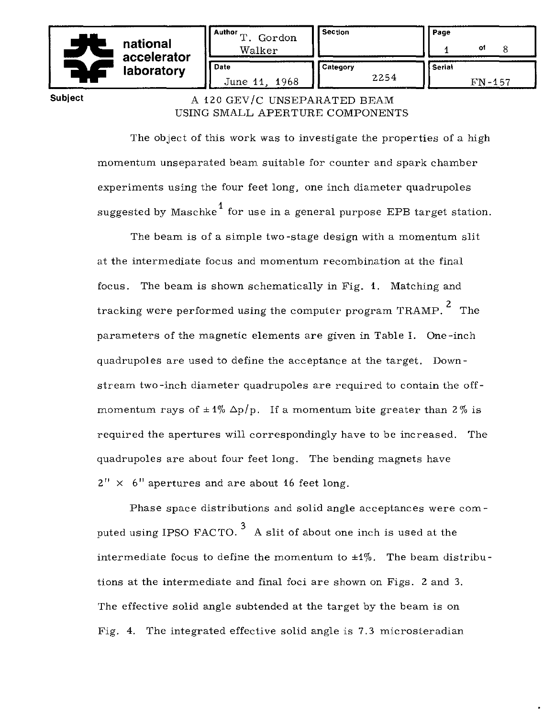|  | national<br>accelerator | Author<br>m<br>Gordon<br>Walker | <b>Section</b>   | Page<br>of<br>8           |
|--|-------------------------|---------------------------------|------------------|---------------------------|
|  | laboratory              | <b>Date</b><br>June 11, 1968    | Category<br>2254 | <b>Serial</b><br>$FN-157$ |

## Subject A 120 GEV/C UNSEPARATED BEAM USING SMALL APERTURE COMPONENTS

The object of this work was to investigate the properties of a high momentum unseparated beam suitable for counter and spark chamber experiments using the four feet long, one inch diameter quadrupoles suggested by Maschke<sup>1</sup> for use in a general purpose EPB target station.

The beam is of a simple two -stage design with a momentum slit at the intermediate focus and momentum recombination at the final focus. The beam is shown schematically in Fig. 1. Matching and tracking were performed using the computer program TRAMP.  $^2$  The parameters of the magnetic elements are given in Table 1. One -inch quadrupoles are used to define the acceptance at the target. Downstream two-inch diameter quadrupoles are required to contain the offmomentum rays of  $\pm 1\%$   $\Delta p/p$ . If a momentum bite greater than 2% is required the apertures will correspondingly have to be increased. The quadrupoles are about four feet long. The bending magnets have  $2'' \times 6''$  apertures and are about 16 feet long.

Phase space distributions and solid angle acceptances were com puted using IPSO FACTO.<sup>3</sup> A slit of about one inch is used at the intermediate focus to define the momentum to  $\pm 1\%$ . The beam distributions at the intermediate and final foci are shown on Figs. 2 and 3. The effective solid angle subtended at the target by the beam is on Fig. 4. The integrated effective solid angle is 7.3 microsteradian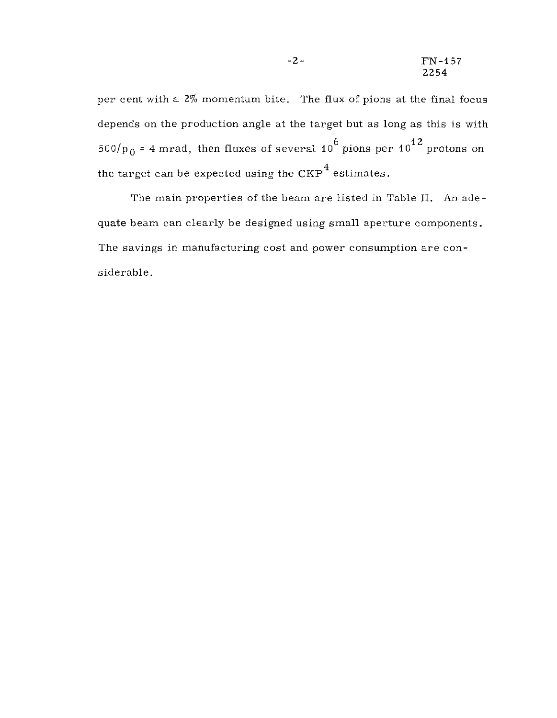per cent with a 2% momentum bite. The flux of pions at the final focus depends on the production angle at the target but as long as this is with  $500/p_0$  = 4 mrad, then fluxes of several 10<sup>6</sup> pions per 10<sup>12</sup> protons on the target can be expected using the  ${\rm CKP}^4$  estimates.

The main properties of the beam are listed in Table II. An adequate beam can clearly be designed using small aperture components. The savings in manufacturing cost and power consumption are considerable.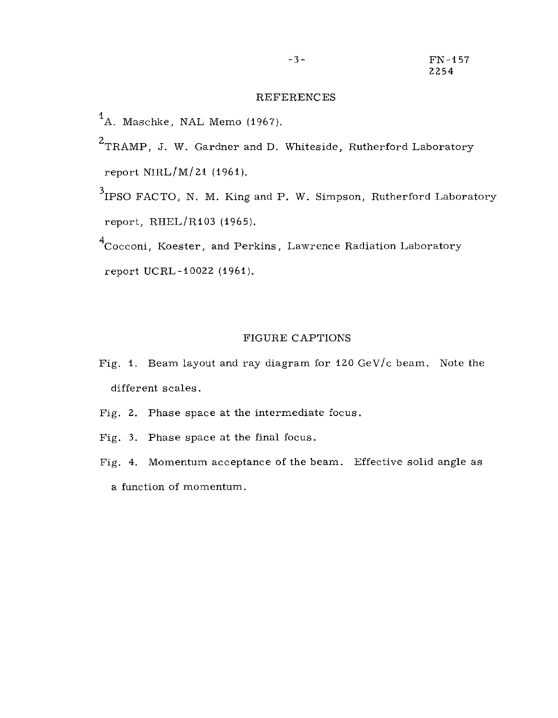## REFERENCES

- <sup>1</sup>A. Maschke, NAL Memo (1967).
- <sup>2</sup>TRAMP, J. W. Gardner and D. Whiteside, Rutherford Laboratory report NIRL/M/21 (1961).
- $3$ IPSO FACTO, N. M. King and P. W. Simpson, Rutherford Laboratory report, RHEL/R103 (1965).

<sup>4</sup>Cocconi, Koester, and Perkins, Lawrence Radiation Laboratory report UCRL-10022 (1961).

## FIGURE CAPTIONS

- Fig. **1.** Beam layout and ray diagram for 120 GeV/c beam. Note the different scales.
- Fig. 2. Phase space at the intermediate focus.
- Fig. 3. Phase space at the final focus.
- Fig. 4. Momentum acceptance of the beam. Effective solid angle as a function of momentum.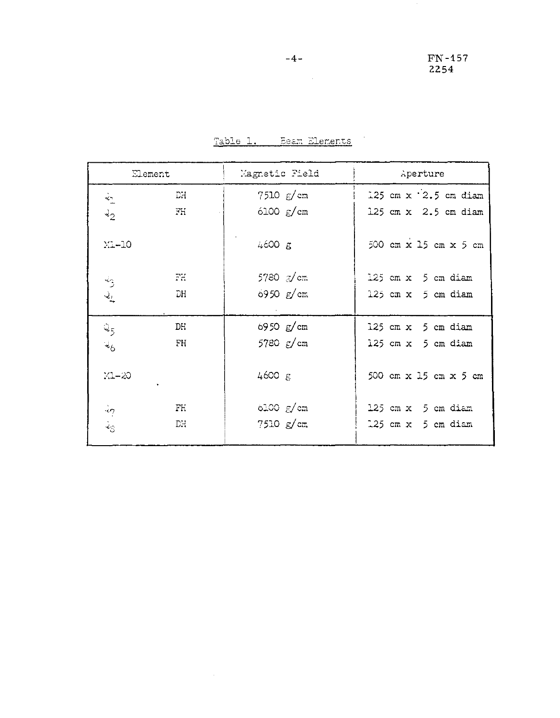|                      | Element   | Magnetic Field         | Aperture                       |
|----------------------|-----------|------------------------|--------------------------------|
| $\frac{1}{2}$        | <b>FC</b> | $7510 \, g/cm$         | 125 cm $x$ $\cdot$ 2.5 cm diam |
| $\lambda_2$          | FH        | $6100 \text{ g/cm}$    | 125 cm $x$ 2.5 cm diam         |
| $M-10$               |           | 4600 g                 | 500 cm x 15 cm x 5 cm          |
| $\ddot{\tilde{z}}$   | 군군        | 5780 g/cm              | 125 cm x 5 cm diam             |
| $\mathcal{Q}_L$      | DH        | 6950 $g/cm$            | $125$ cm $x$ 5 cm diam         |
| $Q_{5}$              | DH        | 6950 $g/cm$            | 125 cm $x$ 5 cm diam           |
| ચંદ                  | FH        | 5780 $\varepsilon$ /cm | 125 cm x 5 cm diam             |
| $M-20$               |           | 4600 g                 | 500 cm x 15 cm x 5 cm          |
| $\cdot$              | Fh        | $6100 \text{ g/cm}$    | 125 cm x 5 cm diam             |
| $\dot{z}_\mathrm{S}$ | DH        | 7510 g/cm              | $125$ cm $x$ 5 cm diam         |

Table 1. Beam Elements

 $\mathcal{L}^{\text{max}}_{\text{max}}$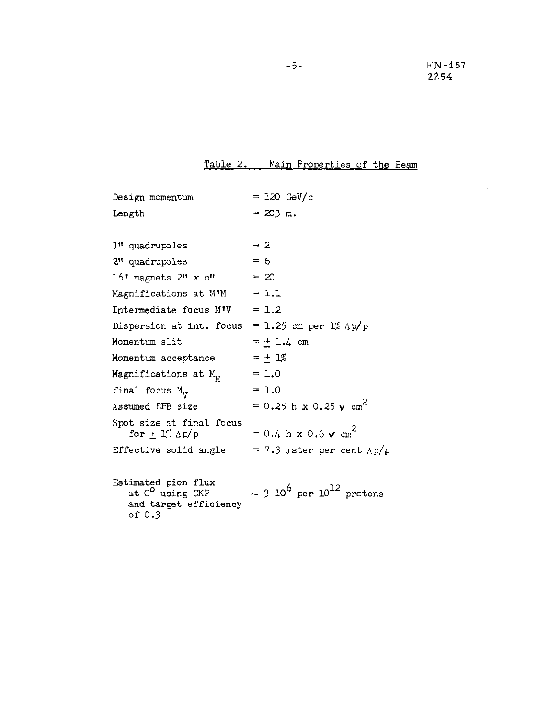$\Delta$ 

Table 2. Main Properties of the Beam

| Design momentum                                                                         | $= 120 \text{ GeV/c}$                                 |
|-----------------------------------------------------------------------------------------|-------------------------------------------------------|
| Length                                                                                  | $= 203$ m.                                            |
|                                                                                         |                                                       |
| 1" quadrupoles                                                                          | $= 2$                                                 |
| 2" quadrupoles                                                                          | $= 6$                                                 |
| $16†$ magnets $2#$ x $6#$                                                               | $= 20$                                                |
| Magnifications at M'M                                                                   | $= 1.1$                                               |
| Intermediate focus M'V                                                                  | $= 1.2$                                               |
| Dispersion at int. focus                                                                | = 1.25 cm per $1\%$ $\Delta p/p$                      |
| Momentum slit                                                                           | $= + 1.4 cm$                                          |
| Momentum acceptance                                                                     | $= +1\%$                                              |
| Magnifications at $\texttt{M}_{\texttt{H}}$                                             | $= 1.0$                                               |
| final focus M <sub>v</sub>                                                              | $= 1.0$                                               |
| Assumed EPB size                                                                        | $= 0.25$ h x 0.25 y cm <sup>2</sup>                   |
| Spot size at final focus<br>for $\pm$ 1% Ap/p                                           | $= 0.4 h x 0.6 v cm2$                                 |
| Effective solid angle                                                                   | $= 7.3$ µster per cent $\Delta p/p$                   |
|                                                                                         |                                                       |
| Estimated pion flux<br>at O <sup>o</sup> using CKP<br>and target efficiency<br>of $0.3$ | $\sim$ 3 10 <sup>6</sup> per 10 <sup>12</sup> protons |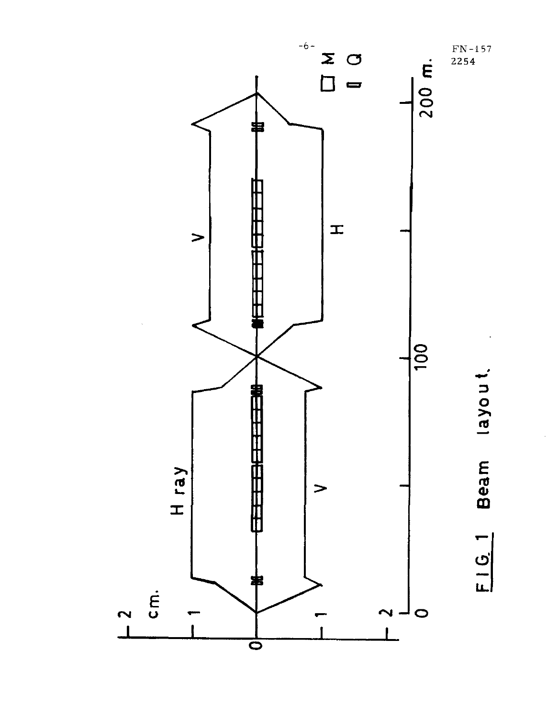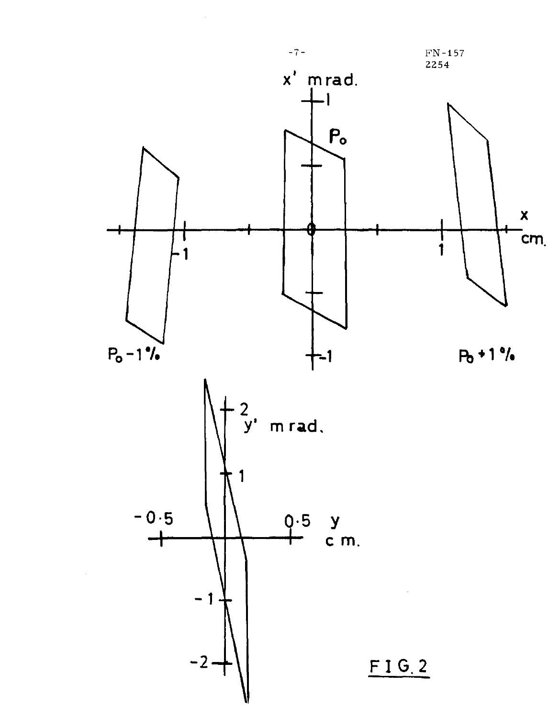